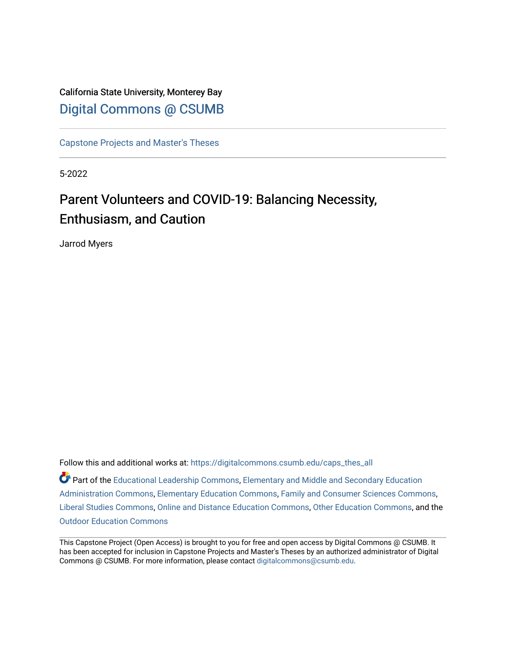# California State University, Monterey Bay [Digital Commons @ CSUMB](https://digitalcommons.csumb.edu/)

[Capstone Projects and Master's Theses](https://digitalcommons.csumb.edu/caps_thes_all)

5-2022

# Parent Volunteers and COVID-19: Balancing Necessity, Enthusiasm, and Caution

Jarrod Myers

Follow this and additional works at: [https://digitalcommons.csumb.edu/caps\\_thes\\_all](https://digitalcommons.csumb.edu/caps_thes_all?utm_source=digitalcommons.csumb.edu%2Fcaps_thes_all%2F1307&utm_medium=PDF&utm_campaign=PDFCoverPages)

Part of the [Educational Leadership Commons,](https://network.bepress.com/hgg/discipline/1230?utm_source=digitalcommons.csumb.edu%2Fcaps_thes_all%2F1307&utm_medium=PDF&utm_campaign=PDFCoverPages) [Elementary and Middle and Secondary Education](https://network.bepress.com/hgg/discipline/790?utm_source=digitalcommons.csumb.edu%2Fcaps_thes_all%2F1307&utm_medium=PDF&utm_campaign=PDFCoverPages)  [Administration Commons,](https://network.bepress.com/hgg/discipline/790?utm_source=digitalcommons.csumb.edu%2Fcaps_thes_all%2F1307&utm_medium=PDF&utm_campaign=PDFCoverPages) [Elementary Education Commons,](https://network.bepress.com/hgg/discipline/1378?utm_source=digitalcommons.csumb.edu%2Fcaps_thes_all%2F1307&utm_medium=PDF&utm_campaign=PDFCoverPages) [Family and Consumer Sciences Commons,](https://network.bepress.com/hgg/discipline/1055?utm_source=digitalcommons.csumb.edu%2Fcaps_thes_all%2F1307&utm_medium=PDF&utm_campaign=PDFCoverPages) [Liberal Studies Commons](https://network.bepress.com/hgg/discipline/1042?utm_source=digitalcommons.csumb.edu%2Fcaps_thes_all%2F1307&utm_medium=PDF&utm_campaign=PDFCoverPages), [Online and Distance Education Commons](https://network.bepress.com/hgg/discipline/1296?utm_source=digitalcommons.csumb.edu%2Fcaps_thes_all%2F1307&utm_medium=PDF&utm_campaign=PDFCoverPages), [Other Education Commons,](https://network.bepress.com/hgg/discipline/811?utm_source=digitalcommons.csumb.edu%2Fcaps_thes_all%2F1307&utm_medium=PDF&utm_campaign=PDFCoverPages) and the [Outdoor Education Commons](https://network.bepress.com/hgg/discipline/1381?utm_source=digitalcommons.csumb.edu%2Fcaps_thes_all%2F1307&utm_medium=PDF&utm_campaign=PDFCoverPages)

This Capstone Project (Open Access) is brought to you for free and open access by Digital Commons @ CSUMB. It has been accepted for inclusion in Capstone Projects and Master's Theses by an authorized administrator of Digital Commons @ CSUMB. For more information, please contact [digitalcommons@csumb.edu](mailto:digitalcommons@csumb.edu).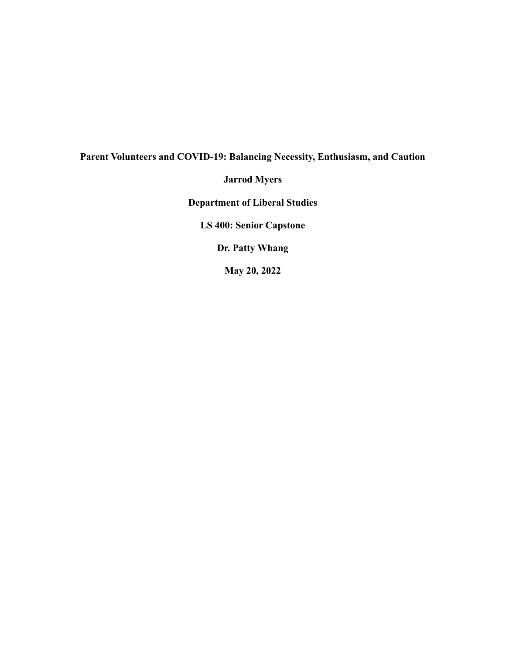# **Parent Volunteers and COVID-19: Balancing Necessity, Enthusiasm, and Caution Jarrod Myers Department of Liberal Studies LS 400: Senior Capstone**

**Dr. Patty Whang**

**May 20, 2022**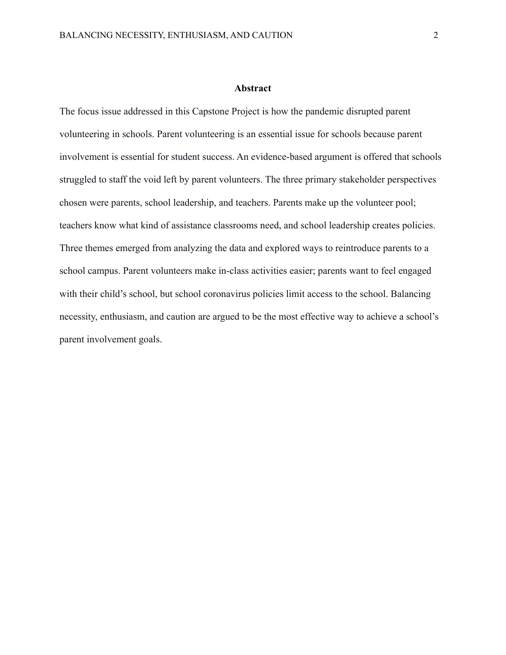#### **Abstract**

The focus issue addressed in this Capstone Project is how the pandemic disrupted parent volunteering in schools. Parent volunteering is an essential issue for schools because parent involvement is essential for student success. An evidence-based argument is offered that schools struggled to staff the void left by parent volunteers. The three primary stakeholder perspectives chosen were parents, school leadership, and teachers. Parents make up the volunteer pool; teachers know what kind of assistance classrooms need, and school leadership creates policies. Three themes emerged from analyzing the data and explored ways to reintroduce parents to a school campus. Parent volunteers make in-class activities easier; parents want to feel engaged with their child's school, but school coronavirus policies limit access to the school. Balancing necessity, enthusiasm, and caution are argued to be the most effective way to achieve a school's parent involvement goals.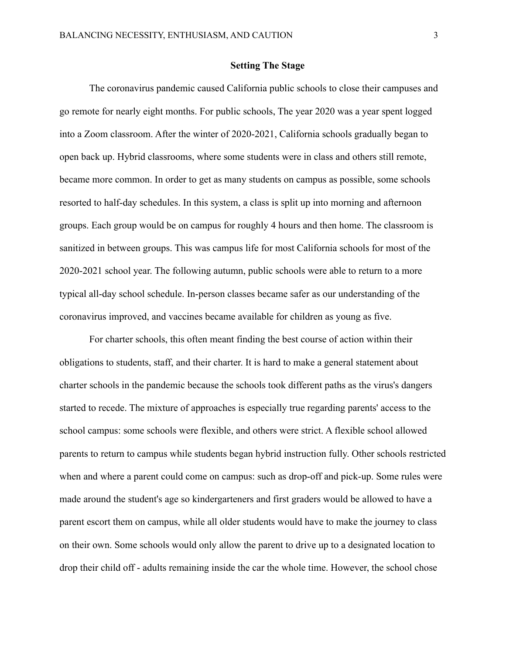# **Setting The Stage**

The coronavirus pandemic caused California public schools to close their campuses and go remote for nearly eight months. For public schools, The year 2020 was a year spent logged into a Zoom classroom. After the winter of 2020-2021, California schools gradually began to open back up. Hybrid classrooms, where some students were in class and others still remote, became more common. In order to get as many students on campus as possible, some schools resorted to half-day schedules. In this system, a class is split up into morning and afternoon groups. Each group would be on campus for roughly 4 hours and then home. The classroom is sanitized in between groups. This was campus life for most California schools for most of the 2020-2021 school year. The following autumn, public schools were able to return to a more typical all-day school schedule. In-person classes became safer as our understanding of the coronavirus improved, and vaccines became available for children as young as five.

For charter schools, this often meant finding the best course of action within their obligations to students, staff, and their charter. It is hard to make a general statement about charter schools in the pandemic because the schools took different paths as the virus's dangers started to recede. The mixture of approaches is especially true regarding parents' access to the school campus: some schools were flexible, and others were strict. A flexible school allowed parents to return to campus while students began hybrid instruction fully. Other schools restricted when and where a parent could come on campus: such as drop-off and pick-up. Some rules were made around the student's age so kindergarteners and first graders would be allowed to have a parent escort them on campus, while all older students would have to make the journey to class on their own. Some schools would only allow the parent to drive up to a designated location to drop their child off - adults remaining inside the car the whole time. However, the school chose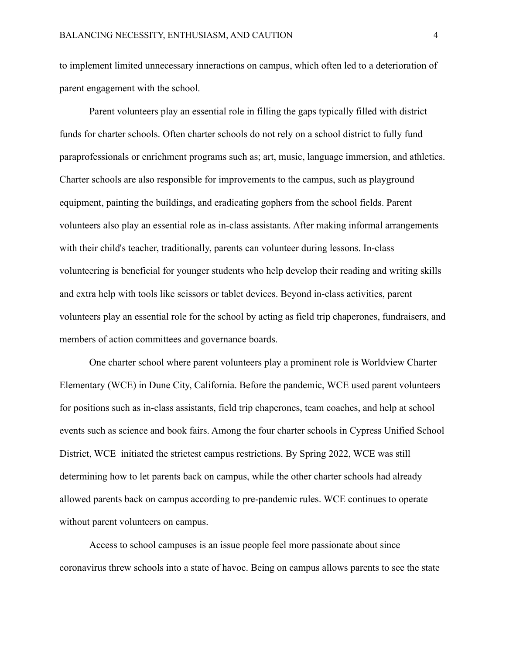to implement limited unnecessary inneractions on campus, which often led to a deterioration of parent engagement with the school.

Parent volunteers play an essential role in filling the gaps typically filled with district funds for charter schools. Often charter schools do not rely on a school district to fully fund paraprofessionals or enrichment programs such as; art, music, language immersion, and athletics. Charter schools are also responsible for improvements to the campus, such as playground equipment, painting the buildings, and eradicating gophers from the school fields. Parent volunteers also play an essential role as in-class assistants. After making informal arrangements with their child's teacher, traditionally, parents can volunteer during lessons. In-class volunteering is beneficial for younger students who help develop their reading and writing skills and extra help with tools like scissors or tablet devices. Beyond in-class activities, parent volunteers play an essential role for the school by acting as field trip chaperones, fundraisers, and members of action committees and governance boards.

One charter school where parent volunteers play a prominent role is Worldview Charter Elementary (WCE) in Dune City, California. Before the pandemic, WCE used parent volunteers for positions such as in-class assistants, field trip chaperones, team coaches, and help at school events such as science and book fairs. Among the four charter schools in Cypress Unified School District, WCE initiated the strictest campus restrictions. By Spring 2022, WCE was still determining how to let parents back on campus, while the other charter schools had already allowed parents back on campus according to pre-pandemic rules. WCE continues to operate without parent volunteers on campus.

Access to school campuses is an issue people feel more passionate about since coronavirus threw schools into a state of havoc. Being on campus allows parents to see the state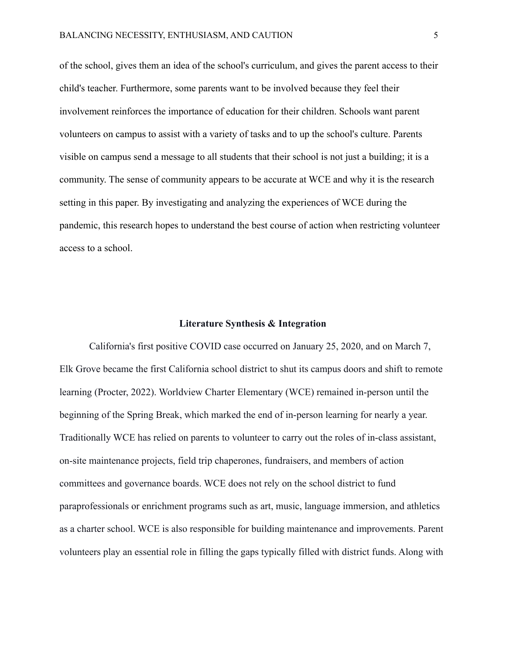of the school, gives them an idea of the school's curriculum, and gives the parent access to their child's teacher. Furthermore, some parents want to be involved because they feel their involvement reinforces the importance of education for their children. Schools want parent volunteers on campus to assist with a variety of tasks and to up the school's culture. Parents visible on campus send a message to all students that their school is not just a building; it is a community. The sense of community appears to be accurate at WCE and why it is the research setting in this paper. By investigating and analyzing the experiences of WCE during the pandemic, this research hopes to understand the best course of action when restricting volunteer access to a school.

#### **Literature Synthesis & Integration**

California's first positive COVID case occurred on January 25, 2020, and on March 7, Elk Grove became the first California school district to shut its campus doors and shift to remote learning (Procter, 2022). Worldview Charter Elementary (WCE) remained in-person until the beginning of the Spring Break, which marked the end of in-person learning for nearly a year. Traditionally WCE has relied on parents to volunteer to carry out the roles of in-class assistant, on-site maintenance projects, field trip chaperones, fundraisers, and members of action committees and governance boards. WCE does not rely on the school district to fund paraprofessionals or enrichment programs such as art, music, language immersion, and athletics as a charter school. WCE is also responsible for building maintenance and improvements. Parent volunteers play an essential role in filling the gaps typically filled with district funds. Along with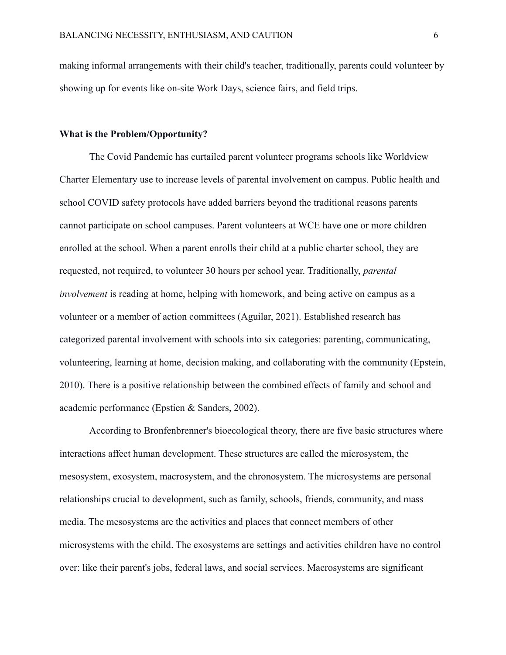making informal arrangements with their child's teacher, traditionally, parents could volunteer by showing up for events like on-site Work Days, science fairs, and field trips.

# **What is the Problem/Opportunity?**

The Covid Pandemic has curtailed parent volunteer programs schools like Worldview Charter Elementary use to increase levels of parental involvement on campus. Public health and school COVID safety protocols have added barriers beyond the traditional reasons parents cannot participate on school campuses. Parent volunteers at WCE have one or more children enrolled at the school. When a parent enrolls their child at a public charter school, they are requested, not required, to volunteer 30 hours per school year. Traditionally, *parental involvement* is reading at home, helping with homework, and being active on campus as a volunteer or a member of action committees (Aguilar, 2021). Established research has categorized parental involvement with schools into six categories: parenting, communicating, volunteering, learning at home, decision making, and collaborating with the community (Epstein, 2010). There is a positive relationship between the combined effects of family and school and academic performance (Epstien & Sanders, 2002).

According to Bronfenbrenner's bioecological theory, there are five basic structures where interactions affect human development. These structures are called the microsystem, the mesosystem, exosystem, macrosystem, and the chronosystem. The microsystems are personal relationships crucial to development, such as family, schools, friends, community, and mass media. The mesosystems are the activities and places that connect members of other microsystems with the child. The exosystems are settings and activities children have no control over: like their parent's jobs, federal laws, and social services. Macrosystems are significant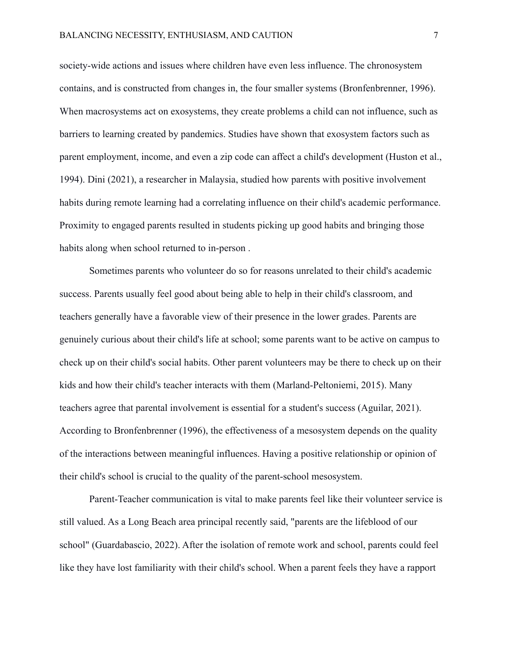society-wide actions and issues where children have even less influence. The chronosystem contains, and is constructed from changes in, the four smaller systems (Bronfenbrenner, 1996). When macrosystems act on exosystems, they create problems a child can not influence, such as barriers to learning created by pandemics. Studies have shown that exosystem factors such as parent employment, income, and even a zip code can affect a child's development (Huston et al., 1994). Dini (2021), a researcher in Malaysia, studied how parents with positive involvement habits during remote learning had a correlating influence on their child's academic performance. Proximity to engaged parents resulted in students picking up good habits and bringing those habits along when school returned to in-person .

Sometimes parents who volunteer do so for reasons unrelated to their child's academic success. Parents usually feel good about being able to help in their child's classroom, and teachers generally have a favorable view of their presence in the lower grades. Parents are genuinely curious about their child's life at school; some parents want to be active on campus to check up on their child's social habits. Other parent volunteers may be there to check up on their kids and how their child's teacher interacts with them (Marland-Peltoniemi, 2015). Many teachers agree that parental involvement is essential for a student's success (Aguilar, 2021). According to Bronfenbrenner (1996), the effectiveness of a mesosystem depends on the quality of the interactions between meaningful influences. Having a positive relationship or opinion of their child's school is crucial to the quality of the parent-school mesosystem.

Parent-Teacher communication is vital to make parents feel like their volunteer service is still valued. As a Long Beach area principal recently said, "parents are the lifeblood of our school" (Guardabascio, 2022). After the isolation of remote work and school, parents could feel like they have lost familiarity with their child's school. When a parent feels they have a rapport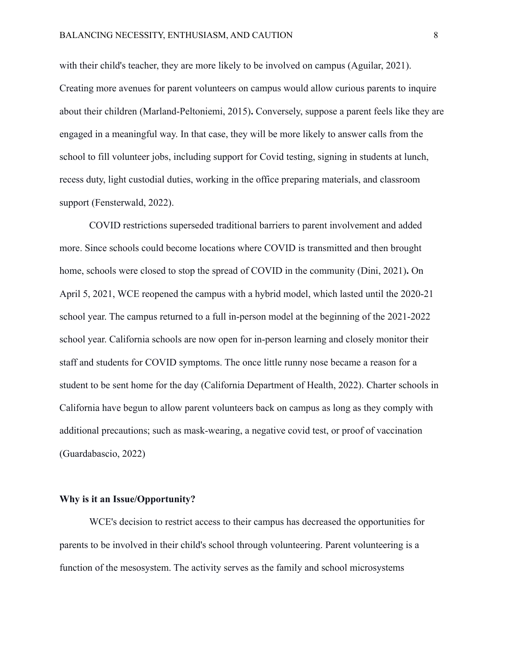with their child's teacher, they are more likely to be involved on campus (Aguilar, 2021). Creating more avenues for parent volunteers on campus would allow curious parents to inquire about their children (Marland-Peltoniemi, 2015)**.** Conversely, suppose a parent feels like they are engaged in a meaningful way. In that case, they will be more likely to answer calls from the school to fill volunteer jobs, including support for Covid testing, signing in students at lunch, recess duty, light custodial duties, working in the office preparing materials, and classroom support (Fensterwald, 2022).

COVID restrictions superseded traditional barriers to parent involvement and added more. Since schools could become locations where COVID is transmitted and then brought home, schools were closed to stop the spread of COVID in the community (Dini, 2021)**.** On April 5, 2021, WCE reopened the campus with a hybrid model, which lasted until the 2020-21 school year. The campus returned to a full in-person model at the beginning of the 2021-2022 school year. California schools are now open for in-person learning and closely monitor their staff and students for COVID symptoms. The once little runny nose became a reason for a student to be sent home for the day (California Department of Health, 2022). Charter schools in California have begun to allow parent volunteers back on campus as long as they comply with additional precautions; such as mask-wearing, a negative covid test, or proof of vaccination (Guardabascio, 2022)

# **Why is it an Issue/Opportunity?**

WCE's decision to restrict access to their campus has decreased the opportunities for parents to be involved in their child's school through volunteering. Parent volunteering is a function of the mesosystem. The activity serves as the family and school microsystems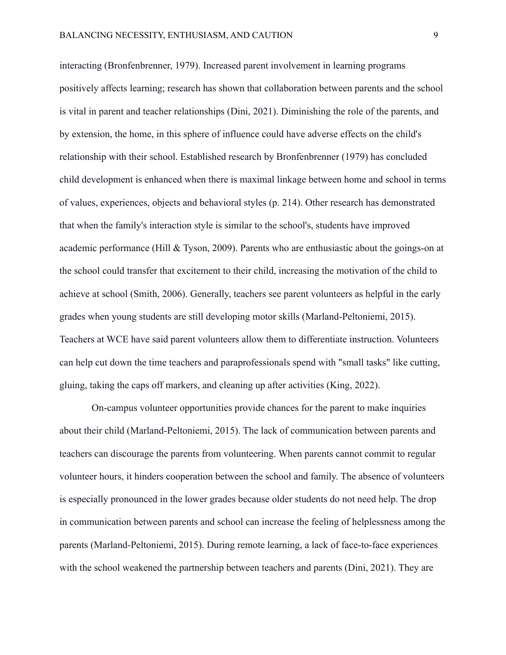interacting (Bronfenbrenner, 1979). Increased parent involvement in learning programs positively affects learning; research has shown that collaboration between parents and the school is vital in parent and teacher relationships (Dini, 2021). Diminishing the role of the parents, and by extension, the home, in this sphere of influence could have adverse effects on the child's relationship with their school. Established research by Bronfenbrenner (1979) has concluded child development is enhanced when there is maximal linkage between home and school in terms of values, experiences, objects and behavioral styles (p. 214). Other research has demonstrated that when the family's interaction style is similar to the school's, students have improved academic performance (Hill & Tyson, 2009). Parents who are enthusiastic about the goings-on at the school could transfer that excitement to their child, increasing the motivation of the child to achieve at school (Smith, 2006). Generally, teachers see parent volunteers as helpful in the early grades when young students are still developing motor skills (Marland-Peltoniemi, 2015). Teachers at WCE have said parent volunteers allow them to differentiate instruction. Volunteers can help cut down the time teachers and paraprofessionals spend with "small tasks" like cutting, gluing, taking the caps off markers, and cleaning up after activities (King, 2022).

On-campus volunteer opportunities provide chances for the parent to make inquiries about their child (Marland-Peltoniemi, 2015). The lack of communication between parents and teachers can discourage the parents from volunteering. When parents cannot commit to regular volunteer hours, it hinders cooperation between the school and family. The absence of volunteers is especially pronounced in the lower grades because older students do not need help. The drop in communication between parents and school can increase the feeling of helplessness among the parents (Marland-Peltoniemi, 2015). During remote learning, a lack of face-to-face experiences with the school weakened the partnership between teachers and parents (Dini, 2021). They are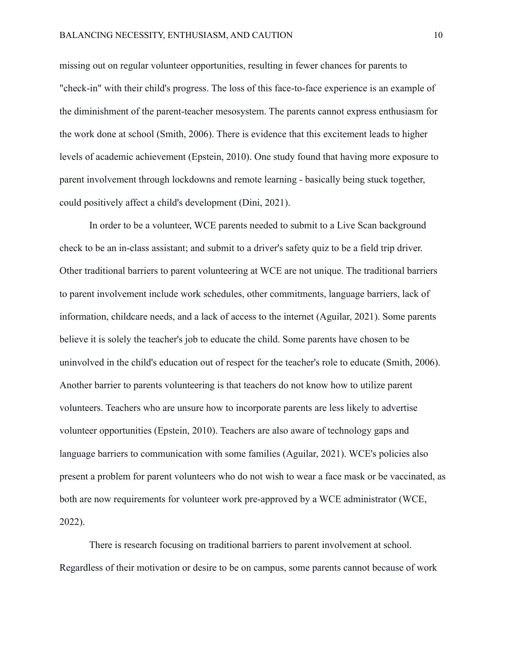missing out on regular volunteer opportunities, resulting in fewer chances for parents to "check-in" with their child's progress. The loss of this face-to-face experience is an example of the diminishment of the parent-teacher mesosystem. The parents cannot express enthusiasm for the work done at school (Smith, 2006). There is evidence that this excitement leads to higher levels of academic achievement (Epstein, 2010). One study found that having more exposure to parent involvement through lockdowns and remote learning - basically being stuck together, could positively affect a child's development (Dini, 2021).

In order to be a volunteer, WCE parents needed to submit to a Live Scan background check to be an in-class assistant; and submit to a driver's safety quiz to be a field trip driver. Other traditional barriers to parent volunteering at WCE are not unique. The traditional barriers to parent involvement include work schedules, other commitments, language barriers, lack of information, childcare needs, and a lack of access to the internet (Aguilar, 2021). Some parents believe it is solely the teacher's job to educate the child. Some parents have chosen to be uninvolved in the child's education out of respect for the teacher's role to educate (Smith, 2006). Another barrier to parents volunteering is that teachers do not know how to utilize parent volunteers. Teachers who are unsure how to incorporate parents are less likely to advertise volunteer opportunities (Epstein, 2010). Teachers are also aware of technology gaps and language barriers to communication with some families (Aguilar, 2021). WCE's policies also present a problem for parent volunteers who do not wish to wear a face mask or be vaccinated, as both are now requirements for volunteer work pre-approved by a WCE administrator (WCE, 2022).

There is research focusing on traditional barriers to parent involvement at school. Regardless of their motivation or desire to be on campus, some parents cannot because of work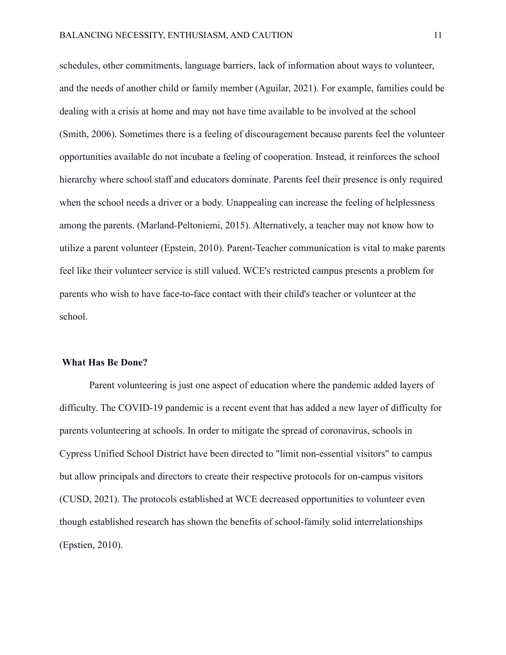schedules, other commitments, language barriers, lack of information about ways to volunteer, and the needs of another child or family member (Aguilar, 2021). For example, families could be dealing with a crisis at home and may not have time available to be involved at the school (Smith, 2006). Sometimes there is a feeling of discouragement because parents feel the volunteer opportunities available do not incubate a feeling of cooperation. Instead, it reinforces the school hierarchy where school staff and educators dominate. Parents feel their presence is only required when the school needs a driver or a body. Unappealing can increase the feeling of helplessness among the parents. (Marland-Peltoniemi, 2015). Alternatively, a teacher may not know how to utilize a parent volunteer (Epstein, 2010). Parent-Teacher communication is vital to make parents feel like their volunteer service is still valued. WCE's restricted campus presents a problem for parents who wish to have face-to-face contact with their child's teacher or volunteer at the school.

#### **What Has Be Done?**

Parent volunteering is just one aspect of education where the pandemic added layers of difficulty. The COVID-19 pandemic is a recent event that has added a new layer of difficulty for parents volunteering at schools. In order to mitigate the spread of coronavirus, schools in Cypress Unified School District have been directed to "limit non-essential visitors" to campus but allow principals and directors to create their respective protocols for on-campus visitors (CUSD, 2021). The protocols established at WCE decreased opportunities to volunteer even though established research has shown the benefits of school-family solid interrelationships (Epstien, 2010).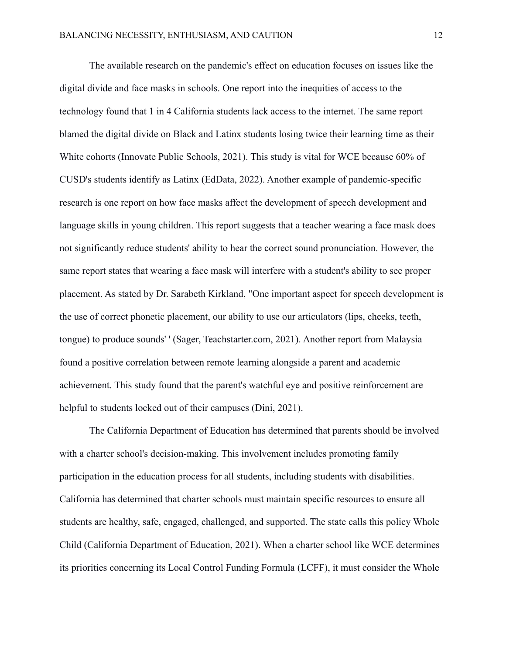The available research on the pandemic's effect on education focuses on issues like the digital divide and face masks in schools. One report into the inequities of access to the technology found that 1 in 4 California students lack access to the internet. The same report blamed the digital divide on Black and Latinx students losing twice their learning time as their White cohorts (Innovate Public Schools, 2021). This study is vital for WCE because 60% of CUSD's students identify as Latinx (EdData, 2022). Another example of pandemic-specific research is one report on how face masks affect the development of speech development and language skills in young children. This report suggests that a teacher wearing a face mask does not significantly reduce students' ability to hear the correct sound pronunciation. However, the same report states that wearing a face mask will interfere with a student's ability to see proper placement. As stated by Dr. Sarabeth Kirkland, "One important aspect for speech development is the use of correct phonetic placement, our ability to use our articulators (lips, cheeks, teeth, tongue) to produce sounds' ' (Sager, Teachstarter.com, 2021). Another report from Malaysia found a positive correlation between remote learning alongside a parent and academic achievement. This study found that the parent's watchful eye and positive reinforcement are helpful to students locked out of their campuses (Dini, 2021).

The California Department of Education has determined that parents should be involved with a charter school's decision-making. This involvement includes promoting family participation in the education process for all students, including students with disabilities. California has determined that charter schools must maintain specific resources to ensure all students are healthy, safe, engaged, challenged, and supported. The state calls this policy Whole Child (California Department of Education, 2021). When a charter school like WCE determines its priorities concerning its Local Control Funding Formula (LCFF), it must consider the Whole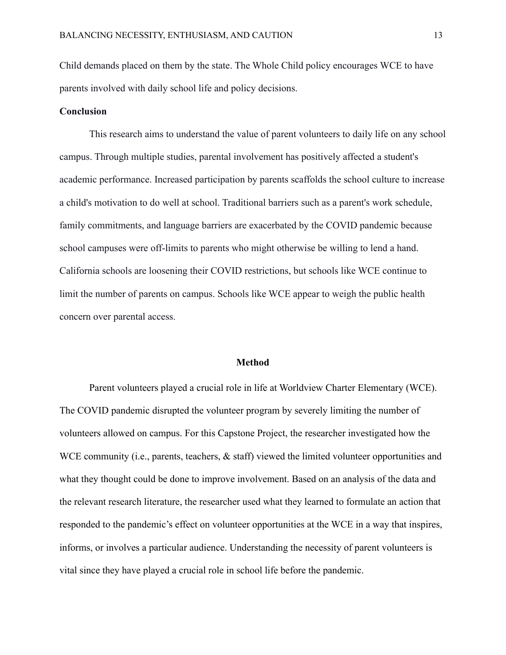Child demands placed on them by the state. The Whole Child policy encourages WCE to have parents involved with daily school life and policy decisions.

# **Conclusion**

This research aims to understand the value of parent volunteers to daily life on any school campus. Through multiple studies, parental involvement has positively affected a student's academic performance. Increased participation by parents scaffolds the school culture to increase a child's motivation to do well at school. Traditional barriers such as a parent's work schedule, family commitments, and language barriers are exacerbated by the COVID pandemic because school campuses were off-limits to parents who might otherwise be willing to lend a hand. California schools are loosening their COVID restrictions, but schools like WCE continue to limit the number of parents on campus. Schools like WCE appear to weigh the public health concern over parental access.

#### **Method**

Parent volunteers played a crucial role in life at Worldview Charter Elementary (WCE). The COVID pandemic disrupted the volunteer program by severely limiting the number of volunteers allowed on campus. For this Capstone Project, the researcher investigated how the WCE community (i.e., parents, teachers,  $\&$  staff) viewed the limited volunteer opportunities and what they thought could be done to improve involvement. Based on an analysis of the data and the relevant research literature, the researcher used what they learned to formulate an action that responded to the pandemic's effect on volunteer opportunities at the WCE in a way that inspires, informs, or involves a particular audience. Understanding the necessity of parent volunteers is vital since they have played a crucial role in school life before the pandemic.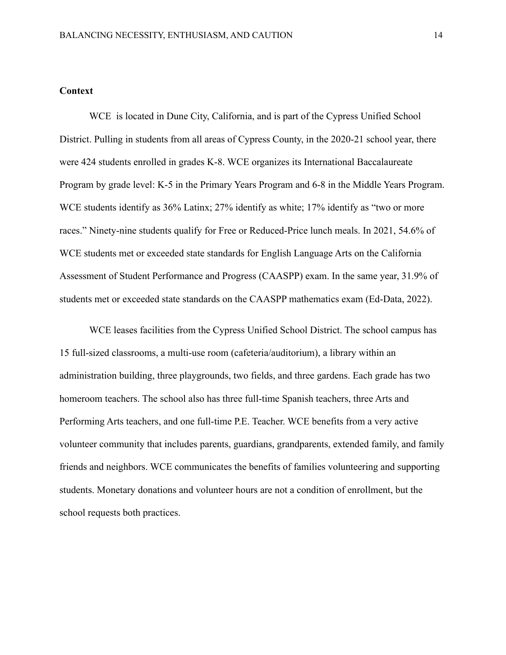# **Context**

WCE is located in Dune City, California, and is part of the Cypress Unified School District. Pulling in students from all areas of Cypress County, in the 2020-21 school year, there were 424 students enrolled in grades K-8. WCE organizes its International Baccalaureate Program by grade level: K-5 in the Primary Years Program and 6-8 in the Middle Years Program. WCE students identify as 36% Latinx; 27% identify as white; 17% identify as "two or more races." Ninety-nine students qualify for Free or Reduced-Price lunch meals. In 2021, 54.6% of WCE students met or exceeded state standards for English Language Arts on the California Assessment of Student Performance and Progress (CAASPP) exam. In the same year, 31.9% of students met or exceeded state standards on the CAASPP mathematics exam (Ed-Data, 2022).

WCE leases facilities from the Cypress Unified School District. The school campus has 15 full-sized classrooms, a multi-use room (cafeteria/auditorium), a library within an administration building, three playgrounds, two fields, and three gardens. Each grade has two homeroom teachers. The school also has three full-time Spanish teachers, three Arts and Performing Arts teachers, and one full-time P.E. Teacher. WCE benefits from a very active volunteer community that includes parents, guardians, grandparents, extended family, and family friends and neighbors. WCE communicates the benefits of families volunteering and supporting students. Monetary donations and volunteer hours are not a condition of enrollment, but the school requests both practices.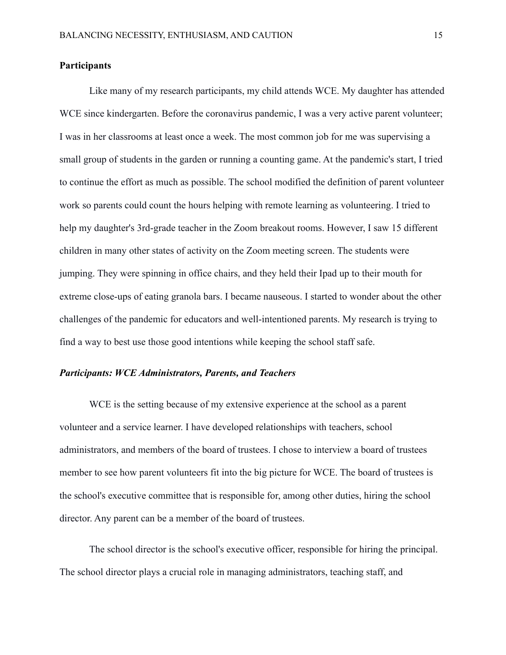# **Participants**

Like many of my research participants, my child attends WCE. My daughter has attended WCE since kindergarten. Before the coronavirus pandemic, I was a very active parent volunteer; I was in her classrooms at least once a week. The most common job for me was supervising a small group of students in the garden or running a counting game. At the pandemic's start, I tried to continue the effort as much as possible. The school modified the definition of parent volunteer work so parents could count the hours helping with remote learning as volunteering. I tried to help my daughter's 3rd-grade teacher in the Zoom breakout rooms. However, I saw 15 different children in many other states of activity on the Zoom meeting screen. The students were jumping. They were spinning in office chairs, and they held their Ipad up to their mouth for extreme close-ups of eating granola bars. I became nauseous. I started to wonder about the other challenges of the pandemic for educators and well-intentioned parents. My research is trying to find a way to best use those good intentions while keeping the school staff safe.

# *Participants: WCE Administrators, Parents, and Teachers*

WCE is the setting because of my extensive experience at the school as a parent volunteer and a service learner. I have developed relationships with teachers, school administrators, and members of the board of trustees. I chose to interview a board of trustees member to see how parent volunteers fit into the big picture for WCE. The board of trustees is the school's executive committee that is responsible for, among other duties, hiring the school director. Any parent can be a member of the board of trustees.

The school director is the school's executive officer, responsible for hiring the principal. The school director plays a crucial role in managing administrators, teaching staff, and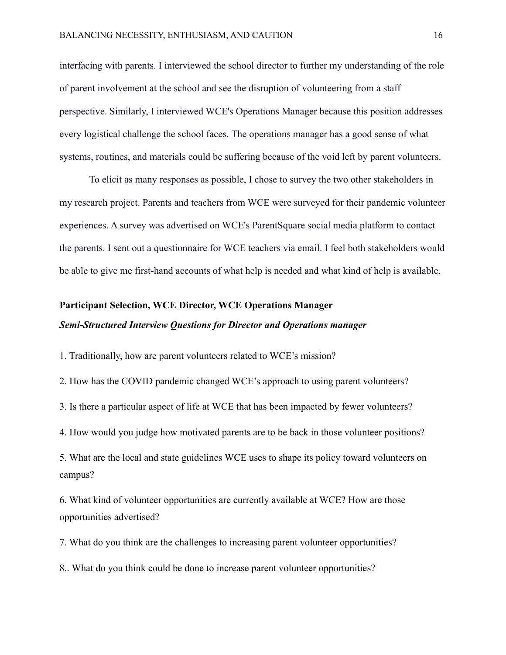interfacing with parents. I interviewed the school director to further my understanding of the role of parent involvement at the school and see the disruption of volunteering from a staff perspective. Similarly, I interviewed WCE's Operations Manager because this position addresses every logistical challenge the school faces. The operations manager has a good sense of what systems, routines, and materials could be suffering because of the void left by parent volunteers.

To elicit as many responses as possible, I chose to survey the two other stakeholders in my research project. Parents and teachers from WCE were surveyed for their pandemic volunteer experiences. A survey was advertised on WCE's ParentSquare social media platform to contact the parents. I sent out a questionnaire for WCE teachers via email. I feel both stakeholders would be able to give me first-hand accounts of what help is needed and what kind of help is available.

# **Participant Selection, WCE Director, WCE Operations Manager** *Semi-Structured Interview Questions for Director and Operations manager*

1. Traditionally, how are parent volunteers related to WCE's mission?

2. How has the COVID pandemic changed WCE's approach to using parent volunteers?

3. Is there a particular aspect of life at WCE that has been impacted by fewer volunteers?

4. How would you judge how motivated parents are to be back in those volunteer positions?

5. What are the local and state guidelines WCE uses to shape its policy toward volunteers on campus?

6. What kind of volunteer opportunities are currently available at WCE? How are those opportunities advertised?

7. What do you think are the challenges to increasing parent volunteer opportunities?

8.. What do you think could be done to increase parent volunteer opportunities?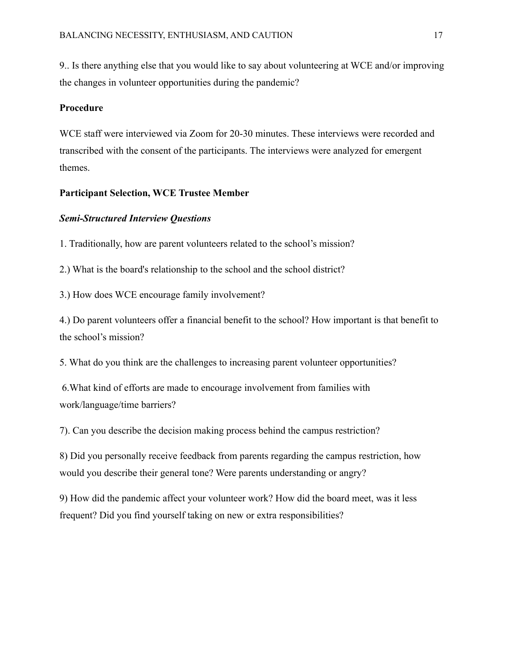9.. Is there anything else that you would like to say about volunteering at WCE and/or improving the changes in volunteer opportunities during the pandemic?

# **Procedure**

WCE staff were interviewed via Zoom for 20-30 minutes. These interviews were recorded and transcribed with the consent of the participants. The interviews were analyzed for emergent themes.

# **Participant Selection, WCE Trustee Member**

# *Semi-Structured Interview Questions*

1. Traditionally, how are parent volunteers related to the school's mission?

2.) What is the board's relationship to the school and the school district?

3.) How does WCE encourage family involvement?

4.) Do parent volunteers offer a financial benefit to the school? How important is that benefit to the school's mission?

5. What do you think are the challenges to increasing parent volunteer opportunities?

6.What kind of efforts are made to encourage involvement from families with work/language/time barriers?

7). Can you describe the decision making process behind the campus restriction?

8) Did you personally receive feedback from parents regarding the campus restriction, how would you describe their general tone? Were parents understanding or angry?

9) How did the pandemic affect your volunteer work? How did the board meet, was it less frequent? Did you find yourself taking on new or extra responsibilities?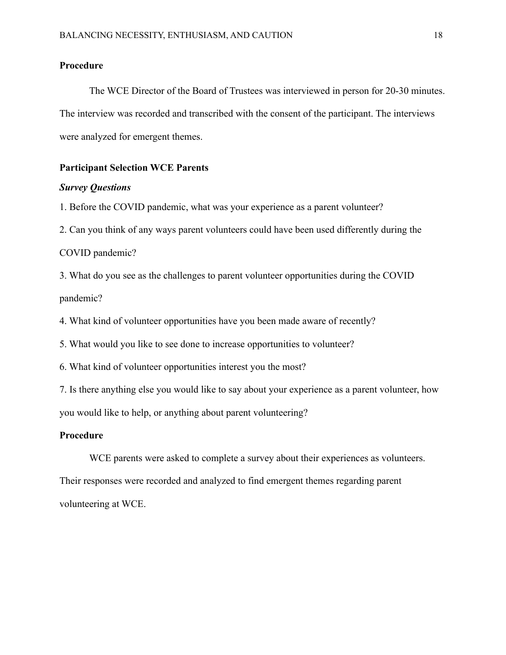# **Procedure**

The WCE Director of the Board of Trustees was interviewed in person for 20-30 minutes. The interview was recorded and transcribed with the consent of the participant. The interviews were analyzed for emergent themes.

# **Participant Selection WCE Parents**

# *Survey Questions*

1. Before the COVID pandemic, what was your experience as a parent volunteer?

2. Can you think of any ways parent volunteers could have been used differently during the

```
COVID pandemic?
```
3. What do you see as the challenges to parent volunteer opportunities during the COVID pandemic?

4. What kind of volunteer opportunities have you been made aware of recently?

5. What would you like to see done to increase opportunities to volunteer?

6. What kind of volunteer opportunities interest you the most?

7. Is there anything else you would like to say about your experience as a parent volunteer, how you would like to help, or anything about parent volunteering?

# **Procedure**

WCE parents were asked to complete a survey about their experiences as volunteers. Their responses were recorded and analyzed to find emergent themes regarding parent volunteering at WCE.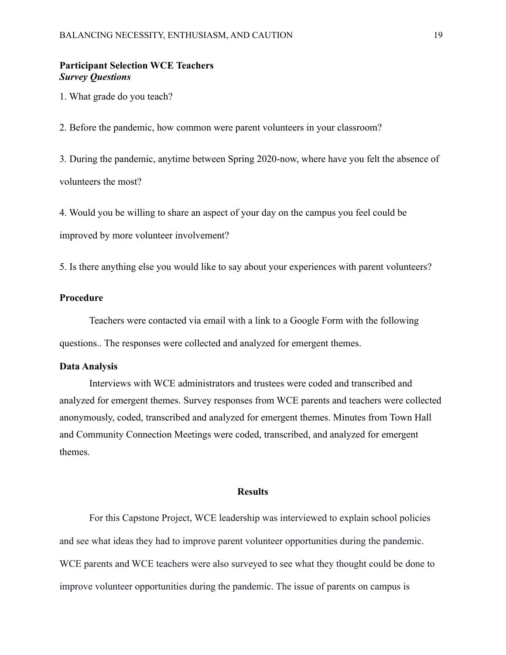# **Participant Selection WCE Teachers** *Survey Questions*

1. What grade do you teach?

2. Before the pandemic, how common were parent volunteers in your classroom?

3. During the pandemic, anytime between Spring 2020-now, where have you felt the absence of volunteers the most?

4. Would you be willing to share an aspect of your day on the campus you feel could be

improved by more volunteer involvement?

5. Is there anything else you would like to say about your experiences with parent volunteers?

# **Procedure**

Teachers were contacted via email with a link to a Google Form with the following questions.. The responses were collected and analyzed for emergent themes.

#### **Data Analysis**

Interviews with WCE administrators and trustees were coded and transcribed and analyzed for emergent themes. Survey responses from WCE parents and teachers were collected anonymously, coded, transcribed and analyzed for emergent themes. Minutes from Town Hall and Community Connection Meetings were coded, transcribed, and analyzed for emergent themes.

#### **Results**

For this Capstone Project, WCE leadership was interviewed to explain school policies and see what ideas they had to improve parent volunteer opportunities during the pandemic. WCE parents and WCE teachers were also surveyed to see what they thought could be done to improve volunteer opportunities during the pandemic. The issue of parents on campus is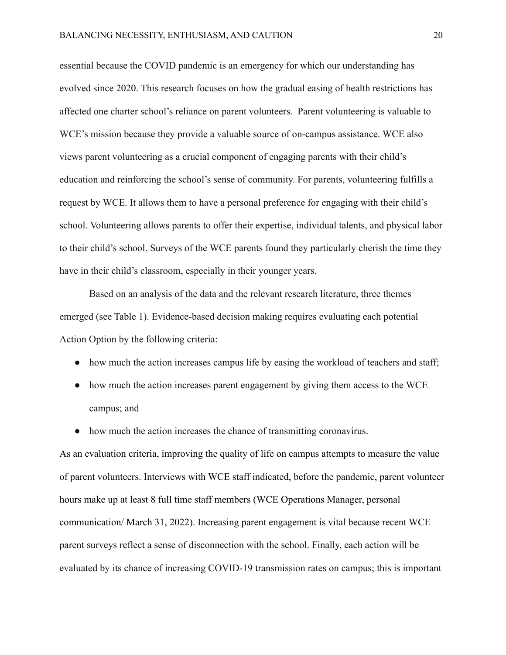essential because the COVID pandemic is an emergency for which our understanding has evolved since 2020. This research focuses on how the gradual easing of health restrictions has affected one charter school's reliance on parent volunteers. Parent volunteering is valuable to WCE's mission because they provide a valuable source of on-campus assistance. WCE also views parent volunteering as a crucial component of engaging parents with their child's education and reinforcing the school's sense of community. For parents, volunteering fulfills a request by WCE. It allows them to have a personal preference for engaging with their child's school. Volunteering allows parents to offer their expertise, individual talents, and physical labor to their child's school. Surveys of the WCE parents found they particularly cherish the time they have in their child's classroom, especially in their younger years.

Based on an analysis of the data and the relevant research literature, three themes emerged (see Table 1). Evidence-based decision making requires evaluating each potential Action Option by the following criteria:

- how much the action increases campus life by easing the workload of teachers and staff;
- how much the action increases parent engagement by giving them access to the WCE campus; and
- how much the action increases the chance of transmitting coronavirus.

As an evaluation criteria, improving the quality of life on campus attempts to measure the value of parent volunteers. Interviews with WCE staff indicated, before the pandemic, parent volunteer hours make up at least 8 full time staff members (WCE Operations Manager, personal communication/ March 31, 2022). Increasing parent engagement is vital because recent WCE parent surveys reflect a sense of disconnection with the school. Finally, each action will be evaluated by its chance of increasing COVID-19 transmission rates on campus; this is important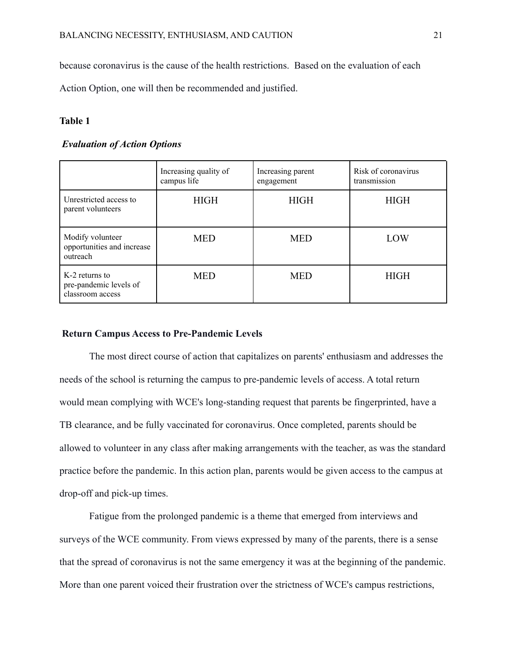because coronavirus is the cause of the health restrictions. Based on the evaluation of each

Action Option, one will then be recommended and justified.

# **Table 1**

# *Evaluation of Action Options*

|                                                              | Increasing quality of<br>campus life | Increasing parent<br>engagement | Risk of coronavirus<br>transmission |
|--------------------------------------------------------------|--------------------------------------|---------------------------------|-------------------------------------|
| Unrestricted access to<br>parent volunteers                  | <b>HIGH</b>                          | <b>HIGH</b>                     | <b>HIGH</b>                         |
| Modify volunteer<br>opportunities and increase<br>outreach   | <b>MED</b>                           | <b>MED</b>                      | LOW                                 |
| K-2 returns to<br>pre-pandemic levels of<br>classroom access | <b>MED</b>                           | <b>MED</b>                      | <b>HIGH</b>                         |

# **Return Campus Access to Pre-Pandemic Levels**

The most direct course of action that capitalizes on parents' enthusiasm and addresses the needs of the school is returning the campus to pre-pandemic levels of access. A total return would mean complying with WCE's long-standing request that parents be fingerprinted, have a TB clearance, and be fully vaccinated for coronavirus. Once completed, parents should be allowed to volunteer in any class after making arrangements with the teacher, as was the standard practice before the pandemic. In this action plan, parents would be given access to the campus at drop-off and pick-up times.

Fatigue from the prolonged pandemic is a theme that emerged from interviews and surveys of the WCE community. From views expressed by many of the parents, there is a sense that the spread of coronavirus is not the same emergency it was at the beginning of the pandemic. More than one parent voiced their frustration over the strictness of WCE's campus restrictions,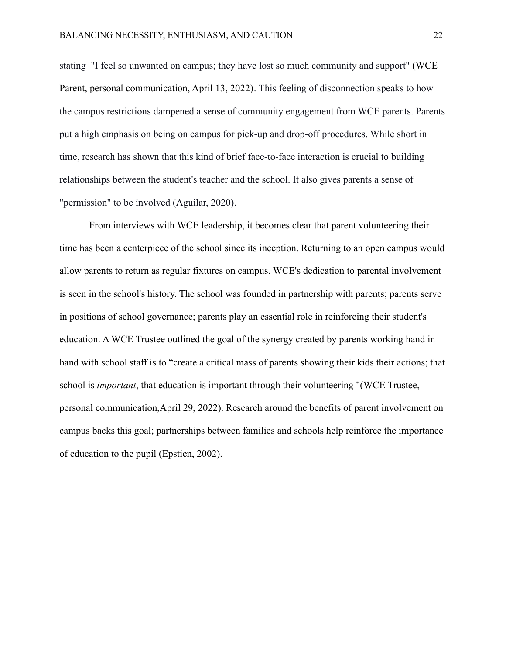stating "I feel so unwanted on campus; they have lost so much community and support" (WCE Parent, personal communication, April 13, 2022). This feeling of disconnection speaks to how the campus restrictions dampened a sense of community engagement from WCE parents. Parents put a high emphasis on being on campus for pick-up and drop-off procedures. While short in time, research has shown that this kind of brief face-to-face interaction is crucial to building relationships between the student's teacher and the school. It also gives parents a sense of "permission" to be involved (Aguilar, 2020).

From interviews with WCE leadership, it becomes clear that parent volunteering their time has been a centerpiece of the school since its inception. Returning to an open campus would allow parents to return as regular fixtures on campus. WCE's dedication to parental involvement is seen in the school's history. The school was founded in partnership with parents; parents serve in positions of school governance; parents play an essential role in reinforcing their student's education. A WCE Trustee outlined the goal of the synergy created by parents working hand in hand with school staff is to "create a critical mass of parents showing their kids their actions; that school is *important*, that education is important through their volunteering "(WCE Trustee, personal communication,April 29, 2022). Research around the benefits of parent involvement on campus backs this goal; partnerships between families and schools help reinforce the importance of education to the pupil (Epstien, 2002).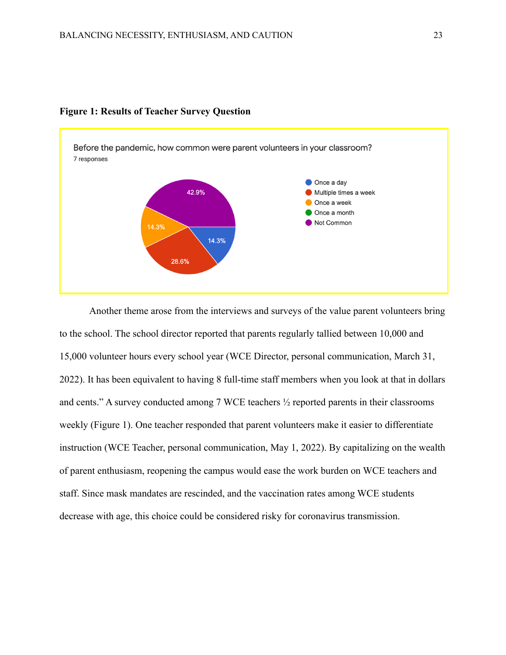

#### **Figure 1: Results of Teacher Survey Question**

Another theme arose from the interviews and surveys of the value parent volunteers bring to the school. The school director reported that parents regularly tallied between 10,000 and 15,000 volunteer hours every school year (WCE Director, personal communication, March 31, 2022). It has been equivalent to having 8 full-time staff members when you look at that in dollars and cents." A survey conducted among 7 WCE teachers ½ reported parents in their classrooms weekly (Figure 1). One teacher responded that parent volunteers make it easier to differentiate instruction (WCE Teacher, personal communication, May 1, 2022). By capitalizing on the wealth of parent enthusiasm, reopening the campus would ease the work burden on WCE teachers and staff. Since mask mandates are rescinded, and the vaccination rates among WCE students decrease with age, this choice could be considered risky for coronavirus transmission.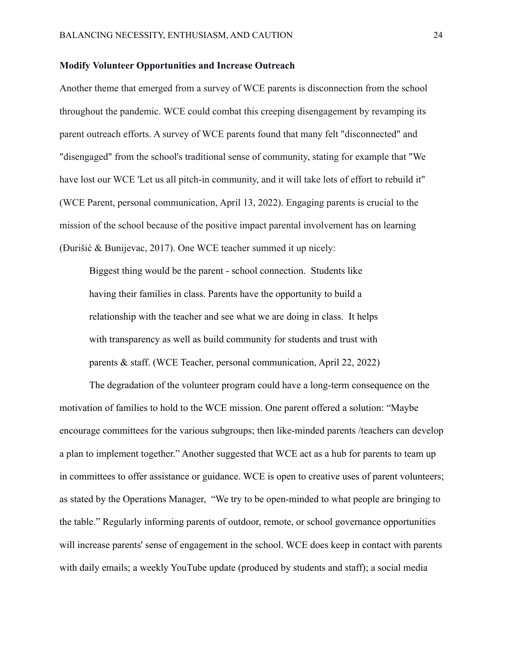# **Modify Volunteer Opportunities and Increase Outreach**

Another theme that emerged from a survey of WCE parents is disconnection from the school throughout the pandemic. WCE could combat this creeping disengagement by revamping its parent outreach efforts. A survey of WCE parents found that many felt "disconnected" and "disengaged" from the school's traditional sense of community, stating for example that "We have lost our WCE 'Let us all pitch-in community, and it will take lots of effort to rebuild it" (WCE Parent, personal communication, April 13, 2022). Engaging parents is crucial to the mission of the school because of the positive impact parental involvement has on learning (Đurišić & Bunijevac, 2017). One WCE teacher summed it up nicely:

Biggest thing would be the parent - school connection. Students like having their families in class. Parents have the opportunity to build a relationship with the teacher and see what we are doing in class. It helps with transparency as well as build community for students and trust with parents & staff. (WCE Teacher, personal communication, April 22, 2022)

The degradation of the volunteer program could have a long-term consequence on the motivation of families to hold to the WCE mission. One parent offered a solution: "Maybe encourage committees for the various subgroups; then like-minded parents /teachers can develop a plan to implement together." Another suggested that WCE act as a hub for parents to team up in committees to offer assistance or guidance. WCE is open to creative uses of parent volunteers; as stated by the Operations Manager, "We try to be open-minded to what people are bringing to the table." Regularly informing parents of outdoor, remote, or school governance opportunities will increase parents' sense of engagement in the school. WCE does keep in contact with parents with daily emails; a weekly YouTube update (produced by students and staff); a social media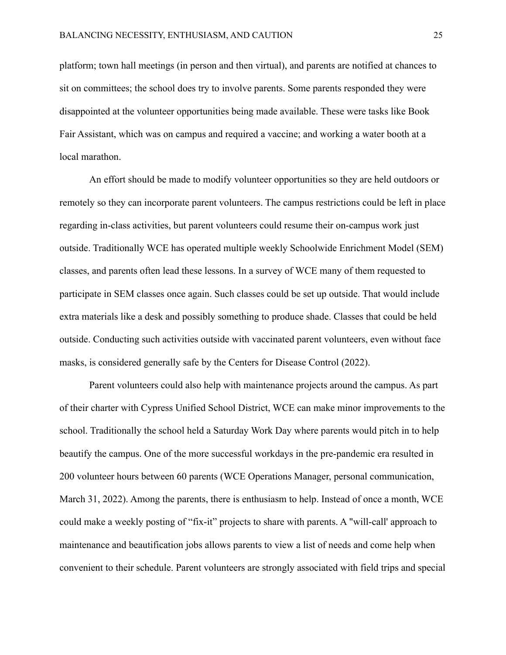platform; town hall meetings (in person and then virtual), and parents are notified at chances to sit on committees; the school does try to involve parents. Some parents responded they were disappointed at the volunteer opportunities being made available. These were tasks like Book Fair Assistant, which was on campus and required a vaccine; and working a water booth at a local marathon.

An effort should be made to modify volunteer opportunities so they are held outdoors or remotely so they can incorporate parent volunteers. The campus restrictions could be left in place regarding in-class activities, but parent volunteers could resume their on-campus work just outside. Traditionally WCE has operated multiple weekly Schoolwide Enrichment Model (SEM) classes, and parents often lead these lessons. In a survey of WCE many of them requested to participate in SEM classes once again. Such classes could be set up outside. That would include extra materials like a desk and possibly something to produce shade. Classes that could be held outside. Conducting such activities outside with vaccinated parent volunteers, even without face masks, is considered generally safe by the Centers for Disease Control (2022).

Parent volunteers could also help with maintenance projects around the campus. As part of their charter with Cypress Unified School District, WCE can make minor improvements to the school. Traditionally the school held a Saturday Work Day where parents would pitch in to help beautify the campus. One of the more successful workdays in the pre-pandemic era resulted in 200 volunteer hours between 60 parents (WCE Operations Manager, personal communication, March 31, 2022). Among the parents, there is enthusiasm to help. Instead of once a month, WCE could make a weekly posting of "fix-it" projects to share with parents. A "will-call' approach to maintenance and beautification jobs allows parents to view a list of needs and come help when convenient to their schedule. Parent volunteers are strongly associated with field trips and special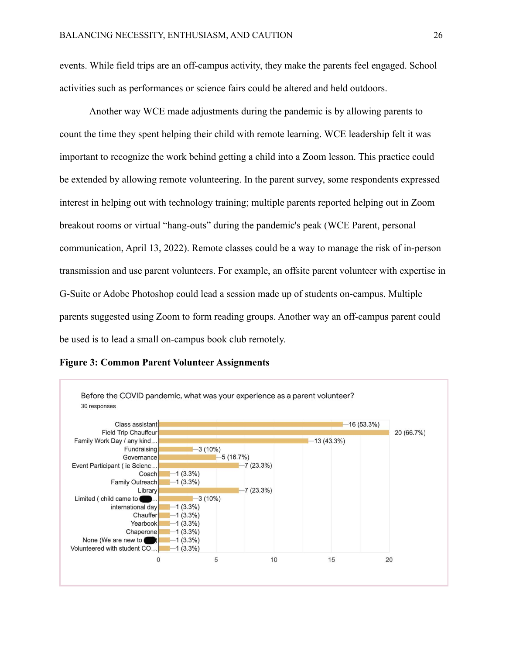events. While field trips are an off-campus activity, they make the parents feel engaged. School activities such as performances or science fairs could be altered and held outdoors.

Another way WCE made adjustments during the pandemic is by allowing parents to count the time they spent helping their child with remote learning. WCE leadership felt it was important to recognize the work behind getting a child into a Zoom lesson. This practice could be extended by allowing remote volunteering. In the parent survey, some respondents expressed interest in helping out with technology training; multiple parents reported helping out in Zoom breakout rooms or virtual "hang-outs" during the pandemic's peak (WCE Parent, personal communication, April 13, 2022). Remote classes could be a way to manage the risk of in-person transmission and use parent volunteers. For example, an offsite parent volunteer with expertise in G-Suite or Adobe Photoshop could lead a session made up of students on-campus. Multiple parents suggested using Zoom to form reading groups. Another way an off-campus parent could be used is to lead a small on-campus book club remotely.



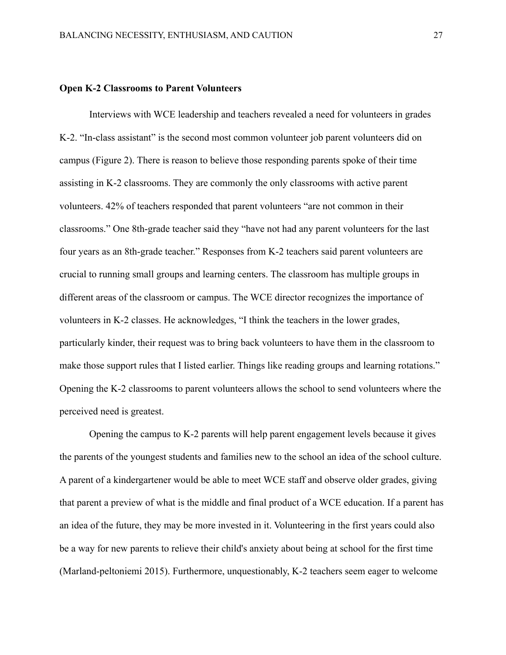# **Open K-2 Classrooms to Parent Volunteers**

Interviews with WCE leadership and teachers revealed a need for volunteers in grades K-2. "In-class assistant" is the second most common volunteer job parent volunteers did on campus (Figure 2). There is reason to believe those responding parents spoke of their time assisting in K-2 classrooms. They are commonly the only classrooms with active parent volunteers. 42% of teachers responded that parent volunteers "are not common in their classrooms." One 8th-grade teacher said they "have not had any parent volunteers for the last four years as an 8th-grade teacher." Responses from K-2 teachers said parent volunteers are crucial to running small groups and learning centers. The classroom has multiple groups in different areas of the classroom or campus. The WCE director recognizes the importance of volunteers in K-2 classes. He acknowledges, "I think the teachers in the lower grades, particularly kinder, their request was to bring back volunteers to have them in the classroom to make those support rules that I listed earlier. Things like reading groups and learning rotations." Opening the K-2 classrooms to parent volunteers allows the school to send volunteers where the perceived need is greatest.

Opening the campus to K-2 parents will help parent engagement levels because it gives the parents of the youngest students and families new to the school an idea of the school culture. A parent of a kindergartener would be able to meet WCE staff and observe older grades, giving that parent a preview of what is the middle and final product of a WCE education. If a parent has an idea of the future, they may be more invested in it. Volunteering in the first years could also be a way for new parents to relieve their child's anxiety about being at school for the first time (Marland-peltoniemi 2015). Furthermore, unquestionably, K-2 teachers seem eager to welcome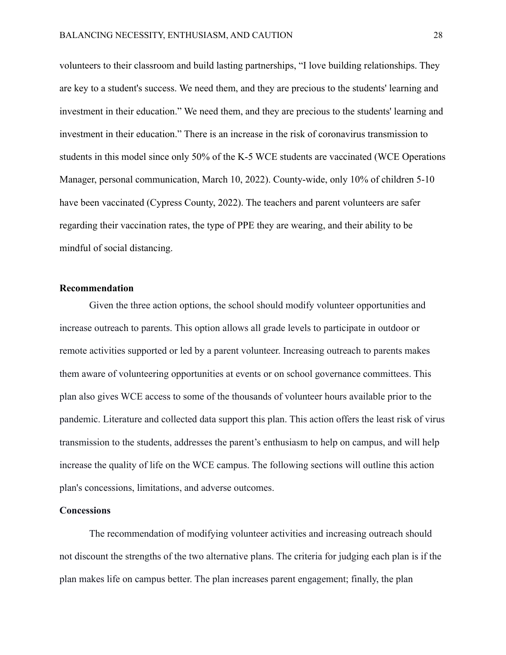volunteers to their classroom and build lasting partnerships, "I love building relationships. They are key to a student's success. We need them, and they are precious to the students' learning and investment in their education." We need them, and they are precious to the students' learning and investment in their education." There is an increase in the risk of coronavirus transmission to students in this model since only 50% of the K-5 WCE students are vaccinated (WCE Operations Manager, personal communication, March 10, 2022). County-wide, only 10% of children 5-10 have been vaccinated (Cypress County, 2022). The teachers and parent volunteers are safer regarding their vaccination rates, the type of PPE they are wearing, and their ability to be mindful of social distancing.

# **Recommendation**

Given the three action options, the school should modify volunteer opportunities and increase outreach to parents. This option allows all grade levels to participate in outdoor or remote activities supported or led by a parent volunteer. Increasing outreach to parents makes them aware of volunteering opportunities at events or on school governance committees. This plan also gives WCE access to some of the thousands of volunteer hours available prior to the pandemic. Literature and collected data support this plan. This action offers the least risk of virus transmission to the students, addresses the parent's enthusiasm to help on campus, and will help increase the quality of life on the WCE campus. The following sections will outline this action plan's concessions, limitations, and adverse outcomes.

# **Concessions**

The recommendation of modifying volunteer activities and increasing outreach should not discount the strengths of the two alternative plans. The criteria for judging each plan is if the plan makes life on campus better. The plan increases parent engagement; finally, the plan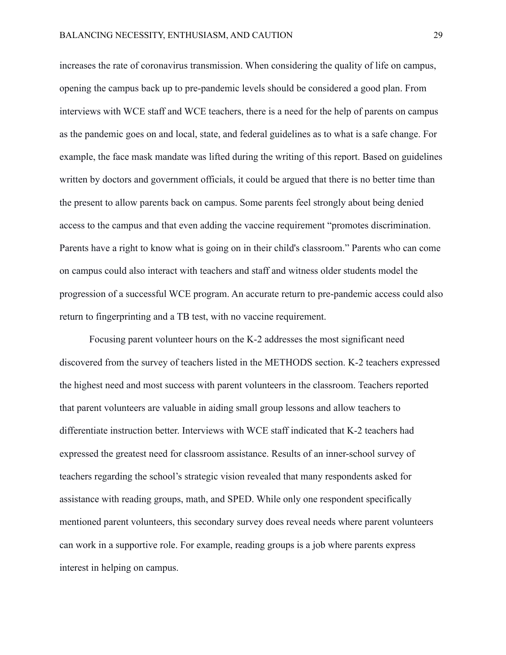increases the rate of coronavirus transmission. When considering the quality of life on campus, opening the campus back up to pre-pandemic levels should be considered a good plan. From interviews with WCE staff and WCE teachers, there is a need for the help of parents on campus as the pandemic goes on and local, state, and federal guidelines as to what is a safe change. For example, the face mask mandate was lifted during the writing of this report. Based on guidelines written by doctors and government officials, it could be argued that there is no better time than the present to allow parents back on campus. Some parents feel strongly about being denied access to the campus and that even adding the vaccine requirement "promotes discrimination. Parents have a right to know what is going on in their child's classroom." Parents who can come on campus could also interact with teachers and staff and witness older students model the progression of a successful WCE program. An accurate return to pre-pandemic access could also return to fingerprinting and a TB test, with no vaccine requirement.

Focusing parent volunteer hours on the K-2 addresses the most significant need discovered from the survey of teachers listed in the METHODS section. K-2 teachers expressed the highest need and most success with parent volunteers in the classroom. Teachers reported that parent volunteers are valuable in aiding small group lessons and allow teachers to differentiate instruction better. Interviews with WCE staff indicated that K-2 teachers had expressed the greatest need for classroom assistance. Results of an inner-school survey of teachers regarding the school's strategic vision revealed that many respondents asked for assistance with reading groups, math, and SPED. While only one respondent specifically mentioned parent volunteers, this secondary survey does reveal needs where parent volunteers can work in a supportive role. For example, reading groups is a job where parents express interest in helping on campus.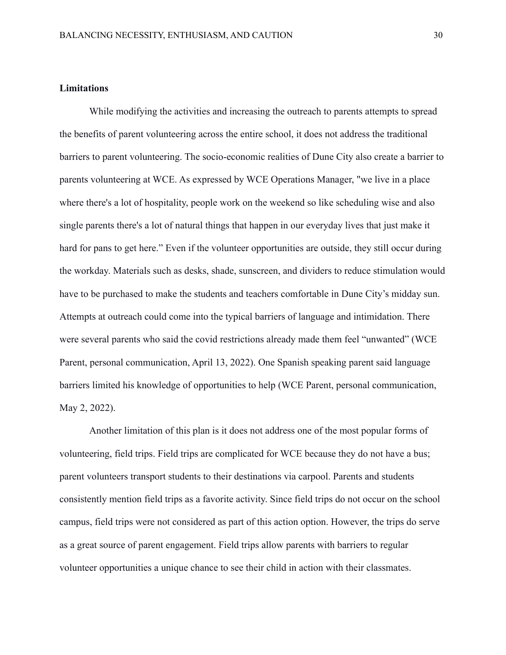# **Limitations**

While modifying the activities and increasing the outreach to parents attempts to spread the benefits of parent volunteering across the entire school, it does not address the traditional barriers to parent volunteering. The socio-economic realities of Dune City also create a barrier to parents volunteering at WCE. As expressed by WCE Operations Manager, "we live in a place where there's a lot of hospitality, people work on the weekend so like scheduling wise and also single parents there's a lot of natural things that happen in our everyday lives that just make it hard for pans to get here." Even if the volunteer opportunities are outside, they still occur during the workday. Materials such as desks, shade, sunscreen, and dividers to reduce stimulation would have to be purchased to make the students and teachers comfortable in Dune City's midday sun. Attempts at outreach could come into the typical barriers of language and intimidation. There were several parents who said the covid restrictions already made them feel "unwanted" (WCE Parent, personal communication, April 13, 2022). One Spanish speaking parent said language barriers limited his knowledge of opportunities to help (WCE Parent, personal communication, May 2, 2022).

Another limitation of this plan is it does not address one of the most popular forms of volunteering, field trips. Field trips are complicated for WCE because they do not have a bus; parent volunteers transport students to their destinations via carpool. Parents and students consistently mention field trips as a favorite activity. Since field trips do not occur on the school campus, field trips were not considered as part of this action option. However, the trips do serve as a great source of parent engagement. Field trips allow parents with barriers to regular volunteer opportunities a unique chance to see their child in action with their classmates.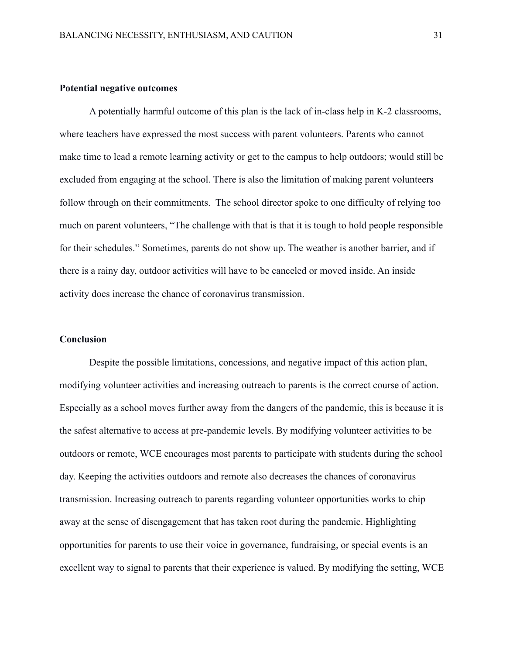# **Potential negative outcomes**

A potentially harmful outcome of this plan is the lack of in-class help in K-2 classrooms, where teachers have expressed the most success with parent volunteers. Parents who cannot make time to lead a remote learning activity or get to the campus to help outdoors; would still be excluded from engaging at the school. There is also the limitation of making parent volunteers follow through on their commitments. The school director spoke to one difficulty of relying too much on parent volunteers, "The challenge with that is that it is tough to hold people responsible for their schedules." Sometimes, parents do not show up. The weather is another barrier, and if there is a rainy day, outdoor activities will have to be canceled or moved inside. An inside activity does increase the chance of coronavirus transmission.

## **Conclusion**

Despite the possible limitations, concessions, and negative impact of this action plan, modifying volunteer activities and increasing outreach to parents is the correct course of action. Especially as a school moves further away from the dangers of the pandemic, this is because it is the safest alternative to access at pre-pandemic levels. By modifying volunteer activities to be outdoors or remote, WCE encourages most parents to participate with students during the school day. Keeping the activities outdoors and remote also decreases the chances of coronavirus transmission. Increasing outreach to parents regarding volunteer opportunities works to chip away at the sense of disengagement that has taken root during the pandemic. Highlighting opportunities for parents to use their voice in governance, fundraising, or special events is an excellent way to signal to parents that their experience is valued. By modifying the setting, WCE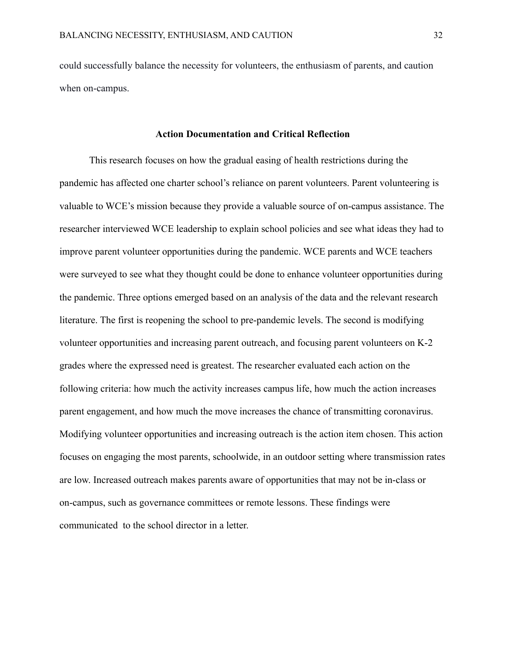could successfully balance the necessity for volunteers, the enthusiasm of parents, and caution when on-campus.

## **Action Documentation and Critical Reflection**

This research focuses on how the gradual easing of health restrictions during the pandemic has affected one charter school's reliance on parent volunteers. Parent volunteering is valuable to WCE's mission because they provide a valuable source of on-campus assistance. The researcher interviewed WCE leadership to explain school policies and see what ideas they had to improve parent volunteer opportunities during the pandemic. WCE parents and WCE teachers were surveyed to see what they thought could be done to enhance volunteer opportunities during the pandemic. Three options emerged based on an analysis of the data and the relevant research literature. The first is reopening the school to pre-pandemic levels. The second is modifying volunteer opportunities and increasing parent outreach, and focusing parent volunteers on K-2 grades where the expressed need is greatest. The researcher evaluated each action on the following criteria: how much the activity increases campus life, how much the action increases parent engagement, and how much the move increases the chance of transmitting coronavirus. Modifying volunteer opportunities and increasing outreach is the action item chosen. This action focuses on engaging the most parents, schoolwide, in an outdoor setting where transmission rates are low. Increased outreach makes parents aware of opportunities that may not be in-class or on-campus, such as governance committees or remote lessons. These findings were communicated to the school director in a letter.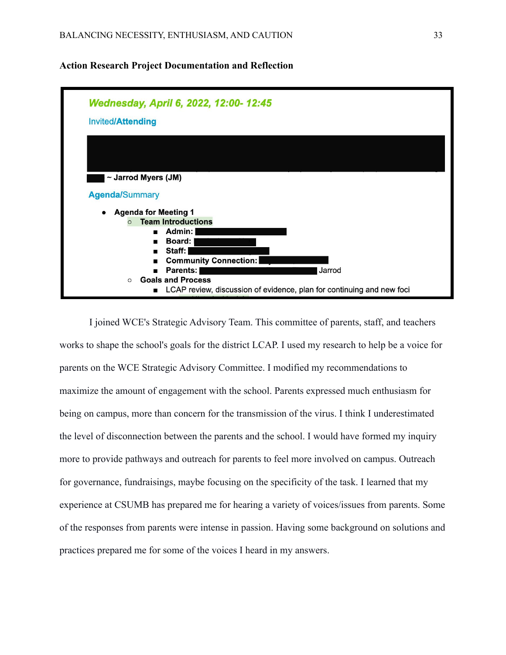# **Action Research Project Documentation and Reflection**



I joined WCE's Strategic Advisory Team. This committee of parents, staff, and teachers works to shape the school's goals for the district LCAP. I used my research to help be a voice for parents on the WCE Strategic Advisory Committee. I modified my recommendations to maximize the amount of engagement with the school. Parents expressed much enthusiasm for being on campus, more than concern for the transmission of the virus. I think I underestimated the level of disconnection between the parents and the school. I would have formed my inquiry more to provide pathways and outreach for parents to feel more involved on campus. Outreach for governance, fundraisings, maybe focusing on the specificity of the task. I learned that my experience at CSUMB has prepared me for hearing a variety of voices/issues from parents. Some of the responses from parents were intense in passion. Having some background on solutions and practices prepared me for some of the voices I heard in my answers.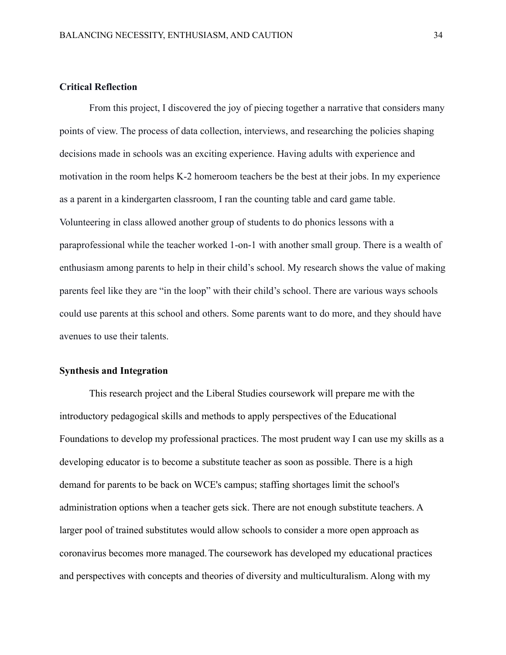# **Critical Reflection**

From this project, I discovered the joy of piecing together a narrative that considers many points of view. The process of data collection, interviews, and researching the policies shaping decisions made in schools was an exciting experience. Having adults with experience and motivation in the room helps K-2 homeroom teachers be the best at their jobs. In my experience as a parent in a kindergarten classroom, I ran the counting table and card game table. Volunteering in class allowed another group of students to do phonics lessons with a paraprofessional while the teacher worked 1-on-1 with another small group. There is a wealth of enthusiasm among parents to help in their child's school. My research shows the value of making parents feel like they are "in the loop" with their child's school. There are various ways schools could use parents at this school and others. Some parents want to do more, and they should have avenues to use their talents.

# **Synthesis and Integration**

This research project and the Liberal Studies coursework will prepare me with the introductory pedagogical skills and methods to apply perspectives of the Educational Foundations to develop my professional practices. The most prudent way I can use my skills as a developing educator is to become a substitute teacher as soon as possible. There is a high demand for parents to be back on WCE's campus; staffing shortages limit the school's administration options when a teacher gets sick. There are not enough substitute teachers. A larger pool of trained substitutes would allow schools to consider a more open approach as coronavirus becomes more managed.The coursework has developed my educational practices and perspectives with concepts and theories of diversity and multiculturalism. Along with my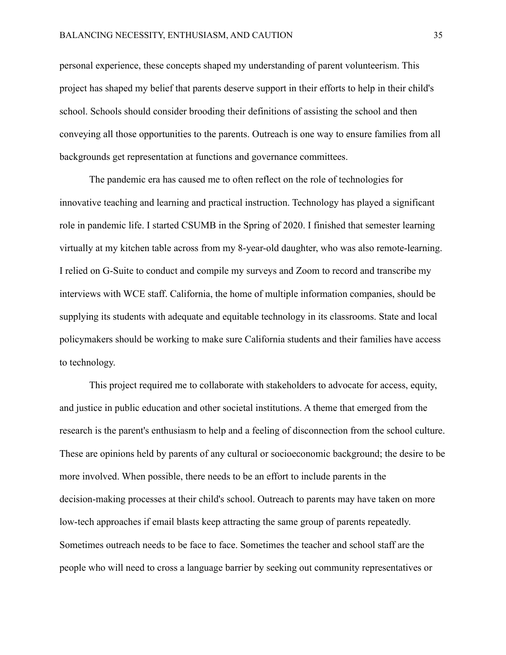personal experience, these concepts shaped my understanding of parent volunteerism. This project has shaped my belief that parents deserve support in their efforts to help in their child's school. Schools should consider brooding their definitions of assisting the school and then conveying all those opportunities to the parents. Outreach is one way to ensure families from all backgrounds get representation at functions and governance committees.

The pandemic era has caused me to often reflect on the role of technologies for innovative teaching and learning and practical instruction. Technology has played a significant role in pandemic life. I started CSUMB in the Spring of 2020. I finished that semester learning virtually at my kitchen table across from my 8-year-old daughter, who was also remote-learning. I relied on G-Suite to conduct and compile my surveys and Zoom to record and transcribe my interviews with WCE staff. California, the home of multiple information companies, should be supplying its students with adequate and equitable technology in its classrooms. State and local policymakers should be working to make sure California students and their families have access to technology.

This project required me to collaborate with stakeholders to advocate for access, equity, and justice in public education and other societal institutions. A theme that emerged from the research is the parent's enthusiasm to help and a feeling of disconnection from the school culture. These are opinions held by parents of any cultural or socioeconomic background; the desire to be more involved. When possible, there needs to be an effort to include parents in the decision-making processes at their child's school. Outreach to parents may have taken on more low-tech approaches if email blasts keep attracting the same group of parents repeatedly. Sometimes outreach needs to be face to face. Sometimes the teacher and school staff are the people who will need to cross a language barrier by seeking out community representatives or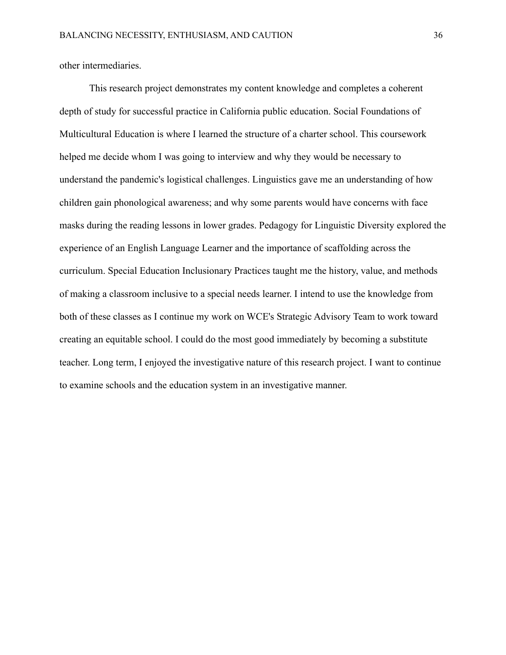other intermediaries.

This research project demonstrates my content knowledge and completes a coherent depth of study for successful practice in California public education. Social Foundations of Multicultural Education is where I learned the structure of a charter school. This coursework helped me decide whom I was going to interview and why they would be necessary to understand the pandemic's logistical challenges. Linguistics gave me an understanding of how children gain phonological awareness; and why some parents would have concerns with face masks during the reading lessons in lower grades. Pedagogy for Linguistic Diversity explored the experience of an English Language Learner and the importance of scaffolding across the curriculum. Special Education Inclusionary Practices taught me the history, value, and methods of making a classroom inclusive to a special needs learner. I intend to use the knowledge from both of these classes as I continue my work on WCE's Strategic Advisory Team to work toward creating an equitable school. I could do the most good immediately by becoming a substitute teacher. Long term, I enjoyed the investigative nature of this research project. I want to continue to examine schools and the education system in an investigative manner.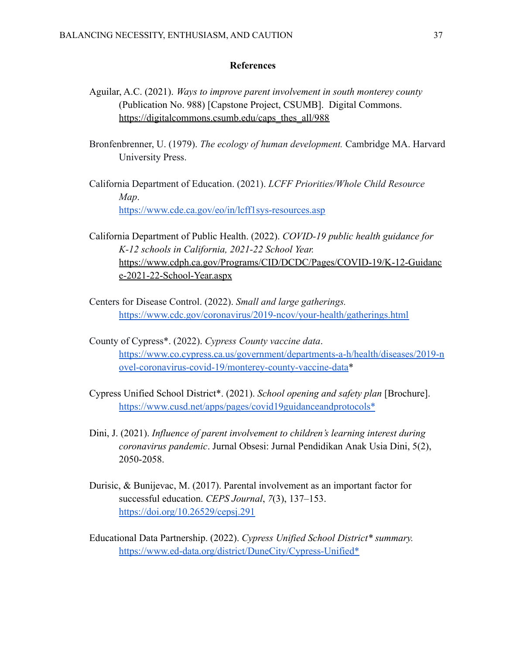# **References**

- Aguilar, A.C. (2021). *Ways to improve parent involvement in south monterey county* (Publication No. 988) [Capstone Project, CSUMB]. Digital Commons. [https://digitalcommons.csumb.edu/caps\\_thes\\_all/988](https://digitalcommons.csumb.edu/caps_thes_all/988)
- Bronfenbrenner, U. (1979). *The ecology of human development.* Cambridge MA. Harvard University Press.
- California Department of Education. (2021). *LCFF Priorities/Whole Child Resource Map*. <https://www.cde.ca.gov/eo/in/lcff1sys-resources.asp>
- California Department of Public Health. (2022). *COVID-19 public health guidance for K-12 schools in California, 2021-22 School Year.* [https://www.cdph.ca.gov/Programs/CID/DCDC/Pages/COVID-19/K-12-Guidanc](https://www.cdph.ca.gov/Programs/CID/DCDC/Pages/COVID-19/K-12-Guidance-2021-22-School-Year.aspx) [e-2021-22-School-Year.aspx](https://www.cdph.ca.gov/Programs/CID/DCDC/Pages/COVID-19/K-12-Guidance-2021-22-School-Year.aspx)
- Centers for Disease Control. (2022). *Small and large gatherings.* <https://www.cdc.gov/coronavirus/2019-ncov/your-health/gatherings.html>
- County of Cypress\*. (2022). *Cypress County vaccine data*. [https://www.co.cypress.ca.us/government/departments-a-h/health/diseases/2019-n](https://www.co.monterey.ca.us/government/departments-a-h/health/diseases/2019-novel-coronavirus-covid-19/monterey-county-vaccine-data) [ovel-coronavirus-covid-19/monterey-county-vaccine-data\\*](https://www.co.monterey.ca.us/government/departments-a-h/health/diseases/2019-novel-coronavirus-covid-19/monterey-county-vaccine-data)
- Cypress Unified School District\*. (2021). *School opening and safety plan* [Brochure]. [https://www.cusd.net/apps/pages/covid19guidanceandprotocols\\*](https://www.cusd.net/apps/pages/covid19guidanceandprotocols*)
- Dini, J. (2021). *Influence of parent involvement to children's learning interest during coronavirus pandemic*. Jurnal Obsesi: Jurnal Pendidikan Anak Usia Dini, 5(2), 2050-2058.
- Durisic, & Bunijevac, M. (2017). Parental involvement as an important factor for successful education. *CEPS Journal*, *7*(3), 137–153. <https://doi.org/10.26529/cepsj.291>
- Educational Data Partnership. (2022). *Cypress Unified School District\* summary.* [https://www.ed-data.org/district/DuneCity/Cypress-Unified\\*](https://www.ed-data.org/district/DuneCity/Cypress-Unified*)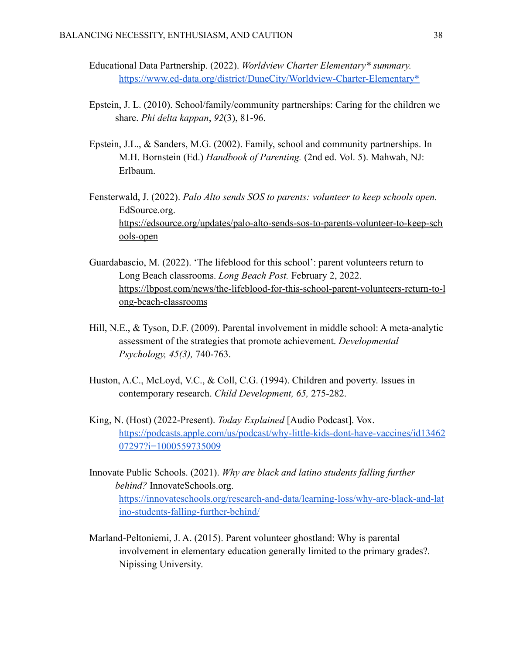- Educational Data Partnership. (2022). *Worldview Charter Elementary\* summary.* [https://www.ed-data.org/district/DuneCity/Worldview-Charter-Elementary\\*](https://www.ed-data.org/district/DuneCity/Worldview-Charter-Elementary*)
- Epstein, J. L. (2010). School/family/community partnerships: Caring for the children we share. *Phi delta kappan*, *92*(3), 81-96.
- Epstein, J.L., & Sanders, M.G. (2002). Family, school and community partnerships. In M.H. Bornstein (Ed.) *Handbook of Parenting.* (2nd ed. Vol. 5). Mahwah, NJ: Erlbaum.
- Fensterwald, J. (2022). *Palo Alto sends SOS to parents: volunteer to keep schools open.* EdSource.org. [https://edsource.org/updates/palo-alto-sends-sos-to-parents-volunteer-to-keep-sch](https://edsource.org/updates/palo-alto-sends-sos-to-parents-volunteer-to-keep-schools-open) [ools-open](https://edsource.org/updates/palo-alto-sends-sos-to-parents-volunteer-to-keep-schools-open)
- Guardabascio, M. (2022). 'The lifeblood for this school': parent volunteers return to Long Beach classrooms. *Long Beach Post.* February 2, 2022. [https://lbpost.com/news/the-lifeblood-for-this-school-parent-volunteers-return-to-l](https://lbpost.com/news/the-lifeblood-for-this-school-parent-volunteers-return-to-long-beach-classrooms) [ong-beach-classrooms](https://lbpost.com/news/the-lifeblood-for-this-school-parent-volunteers-return-to-long-beach-classrooms)
- Hill, N.E., & Tyson, D.F. (2009). Parental involvement in middle school: A meta-analytic assessment of the strategies that promote achievement. *Developmental Psychology, 45(3),* 740-763.
- Huston, A.C., McLoyd, V.C., & Coll, C.G. (1994). Children and poverty. Issues in contemporary research. *Child Development, 65,* 275-282.
- King, N. (Host) (2022-Present). *Today Explained* [Audio Podcast]. Vox. [https://podcasts.apple.com/us/podcast/why-little-kids-dont-have-vaccines/id13462](https://podcasts.apple.com/us/podcast/why-little-kids-dont-have-vaccines/id1346207297?i=1000559735009) [07297?i=1000559735009](https://podcasts.apple.com/us/podcast/why-little-kids-dont-have-vaccines/id1346207297?i=1000559735009)
- Innovate Public Schools. (2021). *Why are black and latino students falling further behind?* InnovateSchools.org. [https://innovateschools.org/research-and-data/learning-loss/why-are-black-and-lat](https://innovateschools.org/research-and-data/learning-loss/why-are-black-and-latino-students-falling-further-behind/) [ino-students-falling-further-behind/](https://innovateschools.org/research-and-data/learning-loss/why-are-black-and-latino-students-falling-further-behind/)
- Marland-Peltoniemi, J. A. (2015). Parent volunteer ghostland: Why is parental involvement in elementary education generally limited to the primary grades?. Nipissing University.